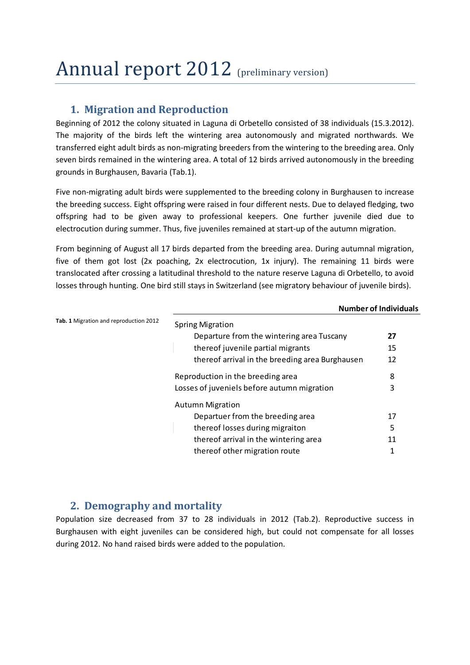# Annual report 2012 (preliminary version)

## **1. Migration and Reproduction**

Beginning of 2012 the colony situated in Laguna di Orbetello consisted of 38 individuals (15.3.2012). The majority of the birds left the wintering area autonomously and migrated northwards. We transferred eight adult birds as non-migrating breeders from the wintering to the breeding area. Only seven birds remained in the wintering area. A total of 12 birds arrived autonomously in the breeding grounds in Burghausen, Bavaria (Tab.1).

Five non-migrating adult birds were supplemented to the breeding colony in Burghausen to increase the breeding success. Eight offspring were raised in four different nests. Due to delayed fledging, two offspring had to be given away to professional keepers. One further juvenile died due to electrocution during summer. Thus, five juveniles remained at start-up of the autumn migration.

From beginning of August all 17 birds departed from the breeding area. During autumnal migration, five of them got lost (2x poaching, 2x electrocution, 1x injury). The remaining 11 birds were translocated after crossing a latitudinal threshold to the nature reserve Laguna di Orbetello, to avoid losses through hunting. One bird still stays in Switzerland (see migratory behaviour of juvenile birds).

|                                        | <b>Number of Individuals</b>                    |    |  |  |  |
|----------------------------------------|-------------------------------------------------|----|--|--|--|
| Tab. 1 Migration and reproduction 2012 | <b>Spring Migration</b>                         |    |  |  |  |
|                                        | Departure from the wintering area Tuscany       | 27 |  |  |  |
|                                        | thereof juvenile partial migrants               | 15 |  |  |  |
|                                        | thereof arrival in the breeding area Burghausen | 12 |  |  |  |
|                                        | Reproduction in the breeding area               | 8  |  |  |  |
|                                        | Losses of juveniels before autumn migration     | 3  |  |  |  |
|                                        | <b>Autumn Migration</b>                         |    |  |  |  |
|                                        | Departuer from the breeding area                | 17 |  |  |  |
|                                        | thereof losses during migraiton                 | 5  |  |  |  |
|                                        | thereof arrival in the wintering area           | 11 |  |  |  |
|                                        | thereof other migration route                   | 1  |  |  |  |

## **2. Demography and mortality**

Population size decreased from 37 to 28 individuals in 2012 (Tab.2). Reproductive success in Burghausen with eight juveniles can be considered high, but could not compensate for all losses during 2012. No hand raised birds were added to the population.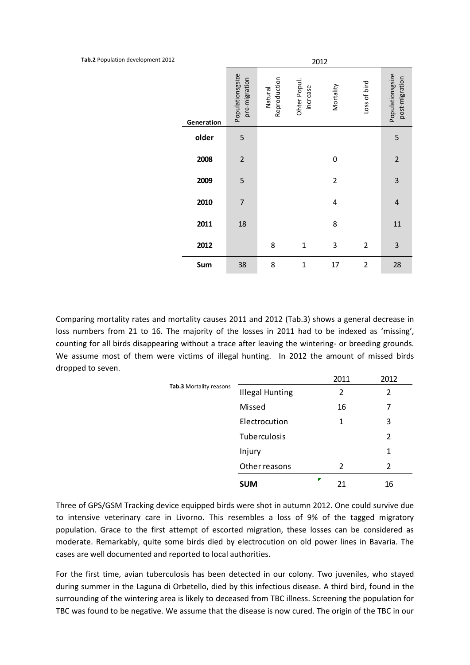**Tab.2** Population development 2012

|            | 2012                              |                         |                          |                |                |                                    |  |
|------------|-----------------------------------|-------------------------|--------------------------|----------------|----------------|------------------------------------|--|
| Generation | Populationsgsize<br>pre-migration | Reproduction<br>Natural | Ohter Popul.<br>increase | Mortality      | Loss of bird   | Populationsgsize<br>post-migration |  |
| older      | 5                                 |                         |                          |                |                | 5                                  |  |
| 2008       | $\overline{c}$                    |                         |                          | 0              |                | $\overline{c}$                     |  |
| 2009       | 5                                 |                         |                          | $\overline{2}$ |                | 3                                  |  |
| 2010       | $\overline{7}$                    |                         |                          | 4              |                | $\overline{\mathbf{r}}$            |  |
| 2011       | 18                                |                         |                          | 8              |                | 11                                 |  |
| 2012       |                                   | 8                       | $\mathbf 1$              | 3              | $\overline{2}$ | 3                                  |  |
| Sum        | 38                                | 8                       | $\mathbf{1}$             | 17             | $\overline{2}$ | 28                                 |  |

Comparing mortality rates and mortality causes 2011 and 2012 (Tab.3) shows a general decrease in loss numbers from 21 to 16. The majority of the losses in 2011 had to be indexed as 'missing', counting for all birds disappearing without a trace after leaving the wintering- or breeding grounds. We assume most of them were victims of illegal hunting. In 2012 the amount of missed birds dropped to seven.

|                         | <b>SUM</b>             | Ζ | 21   | 16   |
|-------------------------|------------------------|---|------|------|
| Tab.3 Mortality reasons | Other reasons          |   | 2    | 2    |
|                         | Injury                 |   |      | 1    |
|                         | Tuberculosis           |   |      | 2    |
|                         | Electrocution          |   | 1    | 3    |
|                         | Missed                 |   | 16   | 7    |
|                         | <b>Illegal Hunting</b> |   | 2    | 2    |
|                         |                        |   | 2011 | 2012 |

Three of GPS/GSM Tracking device equipped birds were shot in autumn 2012. One could survive due to intensive veterinary care in Livorno. This resembles a loss of 9% of the tagged migratory population. Grace to the first attempt of escorted migration, these losses can be considered as moderate. Remarkably, quite some birds died by electrocution on old power lines in Bavaria. The cases are well documented and reported to local authorities.

For the first time, avian tuberculosis has been detected in our colony. Two juveniles, who stayed during summer in the Laguna di Orbetello, died by this infectious disease. A third bird, found in the surrounding of the wintering area is likely to deceased from TBC illness. Screening the population for TBC was found to be negative. We assume that the disease is now cured. The origin of the TBC in our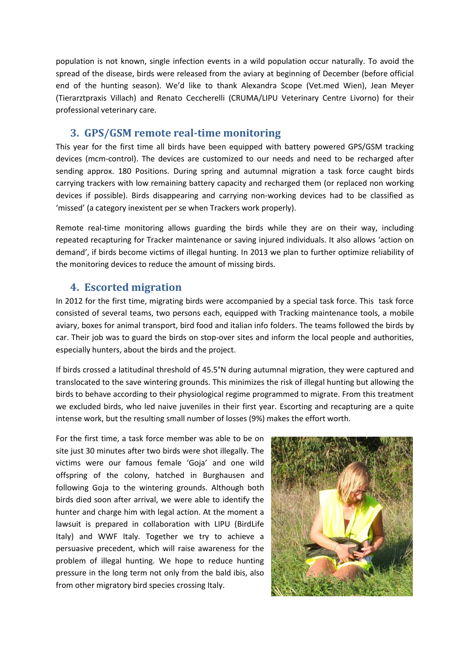population is not known, single infection events in a wild population occur naturally. To avoid the spread of the disease, birds were released from the aviary at beginning of December (before official end of the hunting season). We'd like to thank Alexandra Scope (Vet.med Wien), Jean Meyer (Tierarztpraxis Villach) and Renato Ceccherelli (CRUMA/LIPU Veterinary Centre Livorno) for their professional veterinary care.

#### **3. GPS/GSM remote real-time monitoring**

This year for the first time all birds have been equipped with battery powered GPS/GSM tracking devices (mcm-control). The devices are customized to our needs and need to be recharged after sending approx. 180 Positions. During spring and autumnal migration a task force caught birds carrying trackers with low remaining battery capacity and recharged them (or replaced non working devices if possible). Birds disappearing and carrying non-working devices had to be classified as 'missed' (a category inexistent per se when Trackers work properly).

Remote real-time monitoring allows guarding the birds while they are on their way, including repeated recapturing for Tracker maintenance or saving injured individuals. It also allows 'action on demand', if birds become victims of illegal hunting. In 2013 we plan to further optimize reliability of the monitoring devices to reduce the amount of missing birds.

## **4. Escorted migration**

In 2012 for the first time, migrating birds were accompanied by a special task force. This task force consisted of several teams, two persons each, equipped with Tracking maintenance tools, a mobile aviary, boxes for animal transport, bird food and italian info folders. The teams followed the birds by car. Their job was to guard the birds on stop-over sites and inform the local people and authorities, especially hunters, about the birds and the project.

If birds crossed a latitudinal threshold of 45.5°N during autumnal migration, they were captured and translocated to the save wintering grounds. This minimizes the risk of illegal hunting but allowing the birds to behave according to their physiological regime programmed to migrate. From this treatment we excluded birds, who led naive juveniles in their first year. Escorting and recapturing are a quite intense work, but the resulting small number of losses (9%) makes the effort worth.

For the first time, a task force member was able to be on site just 30 minutes after two birds were shot illegally. The victims were our famous female 'Goja' and one wild offspring of the colony, hatched in Burghausen and following Goja to the wintering grounds. Although both birds died soon after arrival, we were able to identify the hunter and charge him with legal action. At the moment a lawsuit is prepared in collaboration with LIPU (BirdLife Italy) and WWF Italy. Together we try to achieve a persuasive precedent, which will raise awareness for the problem of illegal hunting. We hope to reduce hunting pressure in the long term not only from the bald ibis, also from other migratory bird species crossing Italy.

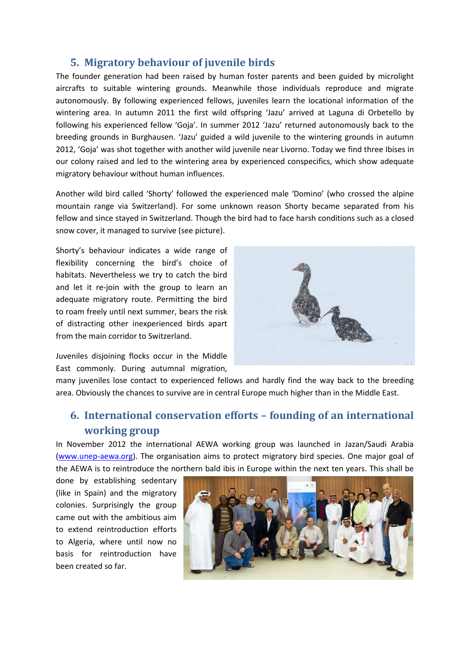#### **5. Migratory behaviour of juvenile birds**

The founder generation had been raised by human foster parents and been guided by microlight aircrafts to suitable wintering grounds. Meanwhile those individuals reproduce and migrate autonomously. By following experienced fellows, juveniles learn the locational information of the wintering area. In autumn 2011 the first wild offspring 'Jazu' arrived at Laguna di Orbetello by following his experienced fellow 'Goja'. In summer 2012 'Jazu' returned autonomously back to the breeding grounds in Burghausen. 'Jazu' guided a wild juvenile to the wintering grounds in autumn 2012, 'Goja' was shot together with another wild juvenile near Livorno. Today we find three Ibises in our colony raised and led to the wintering area by experienced conspecifics, which show adequate migratory behaviour without human influences.

Another wild bird called 'Shorty' followed the experienced male 'Domino' (who crossed the alpine mountain range via Switzerland). For some unknown reason Shorty became separated from his fellow and since stayed in Switzerland. Though the bird had to face harsh conditions such as a closed snow cover, it managed to survive (see picture).

Shorty's behaviour indicates a wide range of flexibility concerning the bird's choice of habitats. Nevertheless we try to catch the bird and let it re-join with the group to learn an adequate migratory route. Permitting the bird to roam freely until next summer, bears the risk of distracting other inexperienced birds apart from the main corridor to Switzerland.



Juveniles disjoining flocks occur in the Middle East commonly. During autumnal migration,

many juveniles lose contact to experienced fellows and hardly find the way back to the breeding area. Obviously the chances to survive are in central Europe much higher than in the Middle East.

## **6. International conservation efforts – founding of an international working group**

In November 2012 the international AEWA working group was launched in Jazan/Saudi Arabia [\(www.unep-aewa.org\)](http://www.unep-aewa.org/). The organisation aims to protect migratory bird species. One major goal of the AEWA is to reintroduce the northern bald ibis in Europe within the next ten years. This shall be

done by establishing sedentary (like in Spain) and the migratory colonies. Surprisingly the group came out with the ambitious aim to extend reintroduction efforts to Algeria, where until now no basis for reintroduction have been created so far.

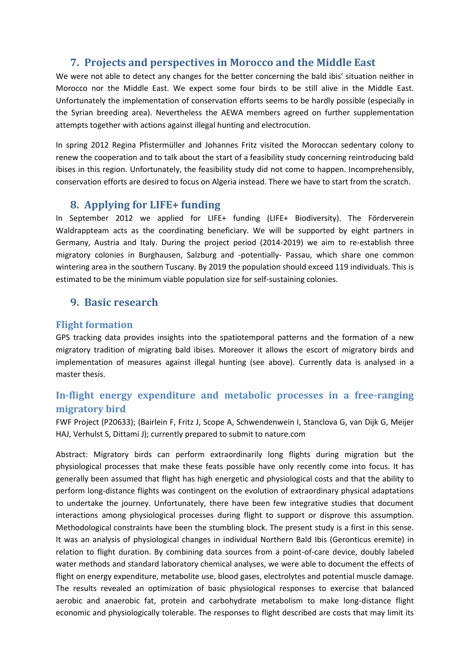## **7. Projects and perspectives in Morocco and the Middle East**

We were not able to detect any changes for the better concerning the bald ibis' situation neither in Morocco nor the Middle East. We expect some four birds to be still alive in the Middle East. Unfortunately the implementation of conservation efforts seems to be hardly possible (especially in the Syrian breeding area). Nevertheless the AEWA members agreed on further supplementation attempts together with actions against illegal hunting and electrocution.

In spring 2012 Regina Pfistermüller and Johannes Fritz visited the Moroccan sedentary colony to renew the cooperation and to talk about the start of a feasibility study concerning reintroducing bald ibises in this region. Unfortunately, the feasibility study did not come to happen. Incomprehensibly, conservation efforts are desired to focus on Algeria instead. There we have to start from the scratch.

#### **8. Applying for LIFE+ funding**

In September 2012 we applied for LIFE+ funding (LIFE+ Biodiversity). The Förderverein Waldrappteam acts as the coordinating beneficiary. We will be supported by eight partners in Germany, Austria and Italy. During the project period (2014-2019) we aim to re-establish three migratory colonies in Burghausen, Salzburg and -potentially- Passau, which share one common wintering area in the southern Tuscany. By 2019 the population should exceed 119 individuals. This is estimated to be the minimum viable population size for self-sustaining colonies.

## **9. Basic research**

#### **Flight formation**

GPS tracking data provides insights into the spatiotemporal patterns and the formation of a new migratory tradition of migrating bald ibises. Moreover it allows the escort of migratory birds and implementation of measures against illegal hunting (see above). Currently data is analysed in a master thesis.

## **In-flight energy expenditure and metabolic processes in a free-ranging migratory bird**

FWF Project (P20633); (Bairlein F, Fritz J, Scope A, Schwendenwein I, Stanclova G, van Dijk G, Meijer HAJ, Verhulst S, Dittami J); currently prepared to submit to nature.com

Abstract: Migratory birds can perform extraordinarily long flights during migration but the physiological processes that make these feats possible have only recently come into focus. It has generally been assumed that flight has high energetic and physiological costs and that the ability to perform long-distance flights was contingent on the evolution of extraordinary physical adaptations to undertake the journey. Unfortunately, there have been few integrative studies that document interactions among physiological processes during flight to support or disprove this assumption. Methodological constraints have been the stumbling block. The present study is a first in this sense. It was an analysis of physiological changes in individual Northern Bald Ibis (Geronticus eremite) in relation to flight duration. By combining data sources from a point-of-care device, doubly labeled water methods and standard laboratory chemical analyses, we were able to document the effects of flight on energy expenditure, metabolite use, blood gases, electrolytes and potential muscle damage. The results revealed an optimization of basic physiological responses to exercise that balanced aerobic and anaerobic fat, protein and carbohydrate metabolism to make long-distance flight economic and physiologically tolerable. The responses to flight described are costs that may limit its